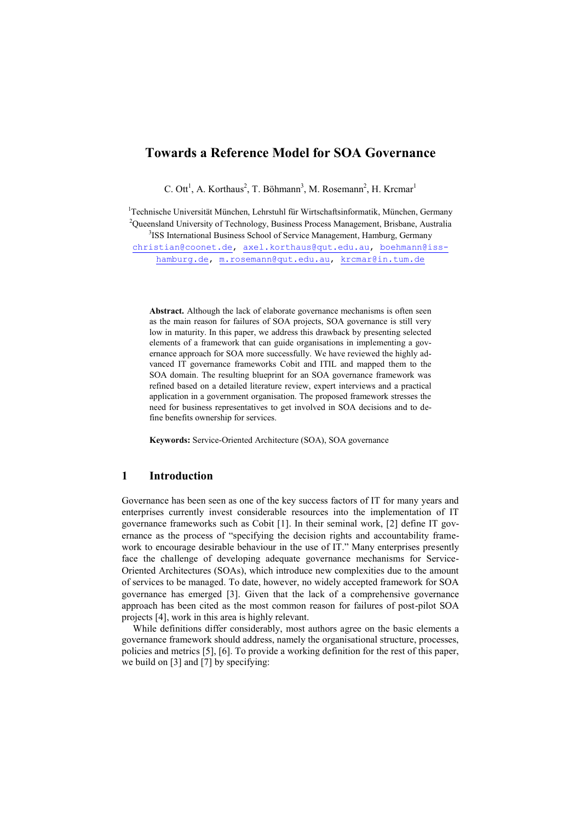# **Towards a Reference Model for SOA Governance**

C. Ott<sup>1</sup>, A. Korthaus<sup>2</sup>, T. Böhmann<sup>3</sup>, M. Rosemann<sup>2</sup>, H. Krcmar<sup>1</sup>

<sup>1</sup>Technische Universität München, Lehrstuhl für Wirtschaftsinformatik, München, Germany <sup>2</sup>Queensland University of Technology, Business Process Management, Brisbane, Australia <sup>3</sup>ISS International Business School of Service Management, Hamburg, Germany [christian@coonet.de,](mailto:christian@coonet.de) [axel.korthaus@qut.edu.au,](mailto:axel.korthaus@qut.edu.au) [boehmann@iss](mailto:boehmann@iss-hamburg.de)[hamburg.de,](mailto:boehmann@iss-hamburg.de) [m.rosemann@qut.edu.au,](mailto:m.rosemann@qut.edu.au) [krcmar@in.tum.de](mailto:krcmar@in.tum.de)

**Abstract.** Although the lack of elaborate governance mechanisms is often seen as the main reason for failures of SOA projects, SOA governance is still very low in maturity. In this paper, we address this drawback by presenting selected elements of a framework that can guide organisations in implementing a governance approach for SOA more successfully. We have reviewed the highly advanced IT governance frameworks Cobit and ITIL and mapped them to the SOA domain. The resulting blueprint for an SOA governance framework was refined based on a detailed literature review, expert interviews and a practical application in a government organisation. The proposed framework stresses the need for business representatives to get involved in SOA decisions and to define benefits ownership for services.

**Keywords:** Service-Oriented Architecture (SOA), SOA governance

## **1 Introduction**

Governance has been seen as one of the key success factors of IT for many years and enterprises currently invest considerable resources into the implementation of IT governance frameworks such as Cobit [1]. In their seminal work, [2] define IT governance as the process of "specifying the decision rights and accountability framework to encourage desirable behaviour in the use of IT." Many enterprises presently face the challenge of developing adequate governance mechanisms for Service-Oriented Architectures (SOAs), which introduce new complexities due to the amount of services to be managed. To date, however, no widely accepted framework for SOA governance has emerged [3]. Given that the lack of a comprehensive governance approach has been cited as the most common reason for failures of post-pilot SOA projects [4], work in this area is highly relevant.

While definitions differ considerably, most authors agree on the basic elements a governance framework should address, namely the organisational structure, processes, policies and metrics [5], [6]. To provide a working definition for the rest of this paper, we build on [3] and [7] by specifying: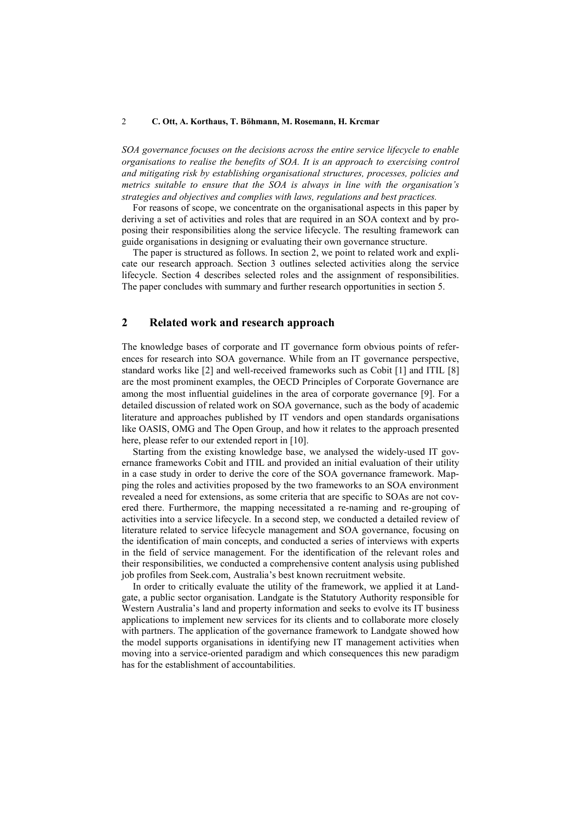#### 2 **C. Ott, A. Korthaus, T. Böhmann, M. Rosemann, H. Krcmar**

*SOA governance focuses on the decisions across the entire service lifecycle to enable organisations to realise the benefits of SOA. It is an approach to exercising control and mitigating risk by establishing organisational structures, processes, policies and metrics suitable to ensure that the SOA is always in line with the organisation's strategies and objectives and complies with laws, regulations and best practices.* 

For reasons of scope, we concentrate on the organisational aspects in this paper by deriving a set of activities and roles that are required in an SOA context and by proposing their responsibilities along the service lifecycle. The resulting framework can guide organisations in designing or evaluating their own governance structure.

The paper is structured as follows. In section 2, we point to related work and explicate our research approach. Section 3 outlines selected activities along the service lifecycle. Section 4 describes selected roles and the assignment of responsibilities. The paper concludes with summary and further research opportunities in section 5.

## **2 Related work and research approach**

The knowledge bases of corporate and IT governance form obvious points of references for research into SOA governance. While from an IT governance perspective, standard works like [2] and well-received frameworks such as Cobit [1] and ITIL [8] are the most prominent examples, the OECD Principles of Corporate Governance are among the most influential guidelines in the area of corporate governance [9]. For a detailed discussion of related work on SOA governance, such as the body of academic literature and approaches published by IT vendors and open standards organisations like OASIS, OMG and The Open Group, and how it relates to the approach presented here, please refer to our extended report in [10].

Starting from the existing knowledge base, we analysed the widely-used IT governance frameworks Cobit and ITIL and provided an initial evaluation of their utility in a case study in order to derive the core of the SOA governance framework. Mapping the roles and activities proposed by the two frameworks to an SOA environment revealed a need for extensions, as some criteria that are specific to SOAs are not covered there. Furthermore, the mapping necessitated a re-naming and re-grouping of activities into a service lifecycle. In a second step, we conducted a detailed review of literature related to service lifecycle management and SOA governance, focusing on the identification of main concepts, and conducted a series of interviews with experts in the field of service management. For the identification of the relevant roles and their responsibilities, we conducted a comprehensive content analysis using published job profiles from Seek.com, Australia's best known recruitment website.

In order to critically evaluate the utility of the framework, we applied it at Landgate, a public sector organisation. Landgate is the Statutory Authority responsible for Western Australia's land and property information and seeks to evolve its IT business applications to implement new services for its clients and to collaborate more closely with partners. The application of the governance framework to Landgate showed how the model supports organisations in identifying new IT management activities when moving into a service-oriented paradigm and which consequences this new paradigm has for the establishment of accountabilities.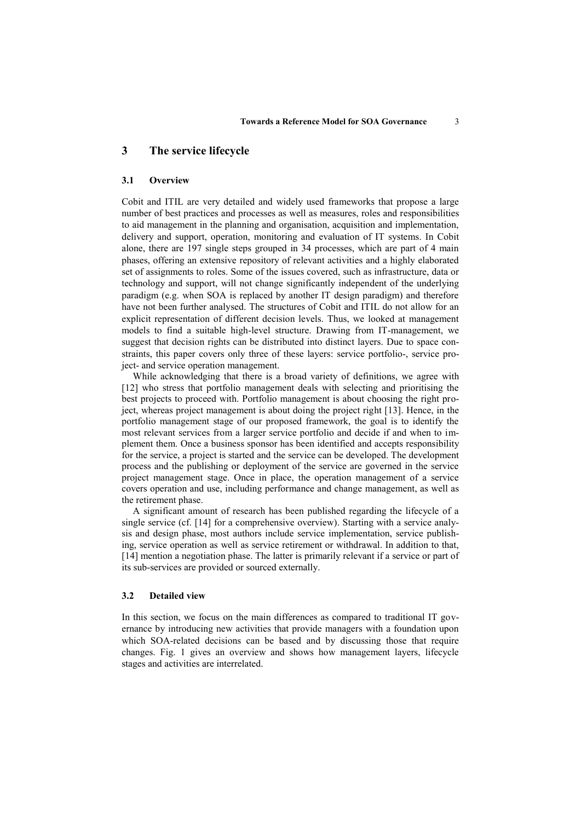## **3 The service lifecycle**

### **3.1 Overview**

Cobit and ITIL are very detailed and widely used frameworks that propose a large number of best practices and processes as well as measures, roles and responsibilities to aid management in the planning and organisation, acquisition and implementation, delivery and support, operation, monitoring and evaluation of IT systems. In Cobit alone, there are 197 single steps grouped in 34 processes, which are part of 4 main phases, offering an extensive repository of relevant activities and a highly elaborated set of assignments to roles. Some of the issues covered, such as infrastructure, data or technology and support, will not change significantly independent of the underlying paradigm (e.g. when SOA is replaced by another IT design paradigm) and therefore have not been further analysed. The structures of Cobit and ITIL do not allow for an explicit representation of different decision levels. Thus, we looked at management models to find a suitable high-level structure. Drawing from IT-management, we suggest that decision rights can be distributed into distinct layers. Due to space constraints, this paper covers only three of these layers: service portfolio-, service project- and service operation management.

While acknowledging that there is a broad variety of definitions, we agree with [12] who stress that portfolio management deals with selecting and prioritising the best projects to proceed with. Portfolio management is about choosing the right project, whereas project management is about doing the project right [13]. Hence, in the portfolio management stage of our proposed framework, the goal is to identify the most relevant services from a larger service portfolio and decide if and when to implement them. Once a business sponsor has been identified and accepts responsibility for the service, a project is started and the service can be developed. The development process and the publishing or deployment of the service are governed in the service project management stage. Once in place, the operation management of a service covers operation and use, including performance and change management, as well as the retirement phase.

A significant amount of research has been published regarding the lifecycle of a single service (cf. [14] for a comprehensive overview). Starting with a service analysis and design phase, most authors include service implementation, service publishing, service operation as well as service retirement or withdrawal. In addition to that, [14] mention a negotiation phase. The latter is primarily relevant if a service or part of its sub-services are provided or sourced externally.

### **3.2 Detailed view**

In this section, we focus on the main differences as compared to traditional IT governance by introducing new activities that provide managers with a foundation upon which SOA-related decisions can be based and by discussing those that require changes. Fig. 1 gives an overview and shows how management layers, lifecycle stages and activities are interrelated.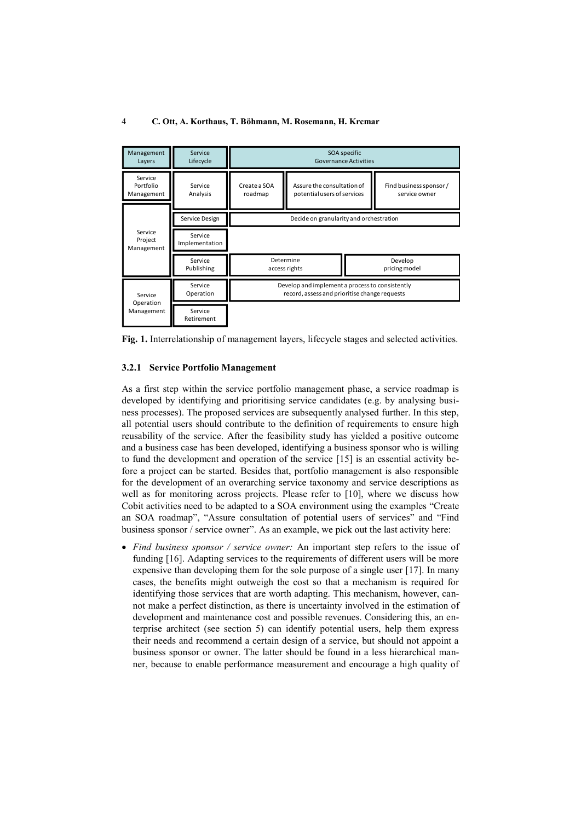

**Fig. 1.** Interrelationship of management layers, lifecycle stages and selected activities.

### **3.2.1 Service Portfolio Management**

As a first step within the service portfolio management phase, a service roadmap is developed by identifying and prioritising service candidates (e.g. by analysing business processes). The proposed services are subsequently analysed further. In this step, all potential users should contribute to the definition of requirements to ensure high reusability of the service. After the feasibility study has yielded a positive outcome and a business case has been developed, identifying a business sponsor who is willing to fund the development and operation of the service [15] is an essential activity before a project can be started. Besides that, portfolio management is also responsible for the development of an overarching service taxonomy and service descriptions as well as for monitoring across projects. Please refer to [10], where we discuss how Cobit activities need to be adapted to a SOA environment using the examples "Create an SOA roadmap", "Assure consultation of potential users of services" and "Find business sponsor / service owner". As an example, we pick out the last activity here:

 *Find business sponsor / service owner:* An important step refers to the issue of funding [16]. Adapting services to the requirements of different users will be more expensive than developing them for the sole purpose of a single user [17]. In many cases, the benefits might outweigh the cost so that a mechanism is required for identifying those services that are worth adapting. This mechanism, however, cannot make a perfect distinction, as there is uncertainty involved in the estimation of development and maintenance cost and possible revenues. Considering this, an enterprise architect (see section 5) can identify potential users, help them express their needs and recommend a certain design of a service, but should not appoint a business sponsor or owner. The latter should be found in a less hierarchical manner, because to enable performance measurement and encourage a high quality of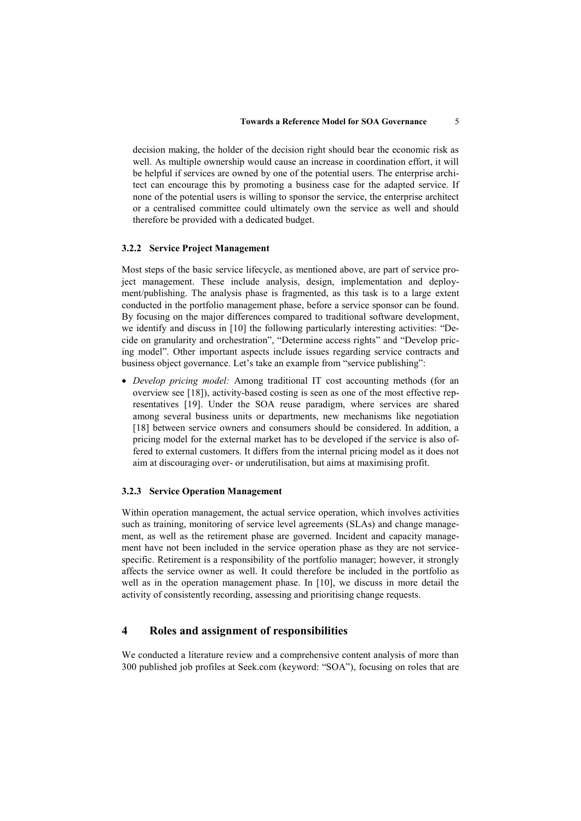decision making, the holder of the decision right should bear the economic risk as well. As multiple ownership would cause an increase in coordination effort, it will be helpful if services are owned by one of the potential users. The enterprise architect can encourage this by promoting a business case for the adapted service. If none of the potential users is willing to sponsor the service, the enterprise architect or a centralised committee could ultimately own the service as well and should therefore be provided with a dedicated budget.

#### **3.2.2 Service Project Management**

Most steps of the basic service lifecycle, as mentioned above, are part of service project management. These include analysis, design, implementation and deployment/publishing. The analysis phase is fragmented, as this task is to a large extent conducted in the portfolio management phase, before a service sponsor can be found. By focusing on the major differences compared to traditional software development, we identify and discuss in [10] the following particularly interesting activities: "Decide on granularity and orchestration", "Determine access rights" and "Develop pricing model". Other important aspects include issues regarding service contracts and business object governance. Let's take an example from "service publishing":

 *Develop pricing model:* Among traditional IT cost accounting methods (for an overview see [18]), activity-based costing is seen as one of the most effective representatives [19]. Under the SOA reuse paradigm, where services are shared among several business units or departments, new mechanisms like negotiation [18] between service owners and consumers should be considered. In addition, a pricing model for the external market has to be developed if the service is also offered to external customers. It differs from the internal pricing model as it does not aim at discouraging over- or underutilisation, but aims at maximising profit.

#### **3.2.3 Service Operation Management**

Within operation management, the actual service operation, which involves activities such as training, monitoring of service level agreements (SLAs) and change management, as well as the retirement phase are governed. Incident and capacity management have not been included in the service operation phase as they are not servicespecific. Retirement is a responsibility of the portfolio manager; however, it strongly affects the service owner as well. It could therefore be included in the portfolio as well as in the operation management phase. In [10], we discuss in more detail the activity of consistently recording, assessing and prioritising change requests.

## **4 Roles and assignment of responsibilities**

We conducted a literature review and a comprehensive content analysis of more than 300 published job profiles at Seek.com (keyword: "SOA"), focusing on roles that are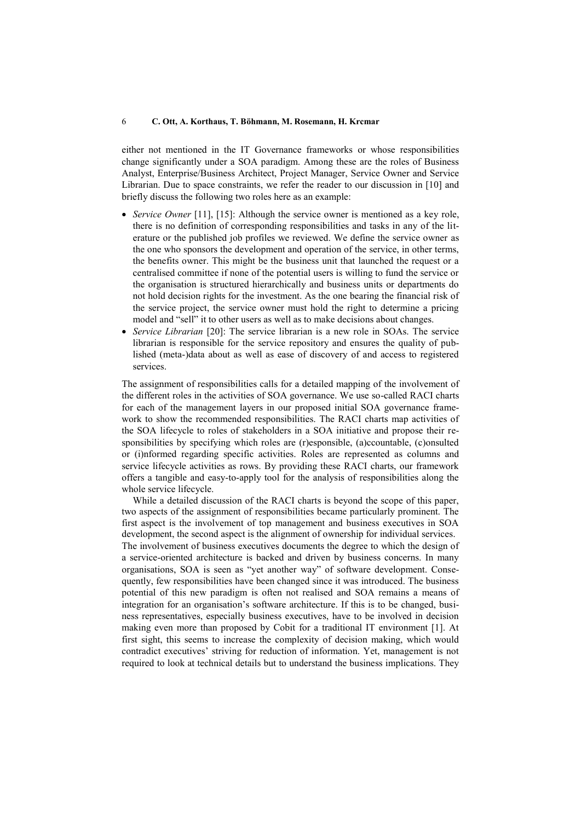#### 6 **C. Ott, A. Korthaus, T. Böhmann, M. Rosemann, H. Krcmar**

either not mentioned in the IT Governance frameworks or whose responsibilities change significantly under a SOA paradigm. Among these are the roles of Business Analyst, Enterprise/Business Architect, Project Manager, Service Owner and Service Librarian. Due to space constraints, we refer the reader to our discussion in [10] and briefly discuss the following two roles here as an example:

- *Service Owner* [11], [15]: Although the service owner is mentioned as a key role, there is no definition of corresponding responsibilities and tasks in any of the literature or the published job profiles we reviewed. We define the service owner as the one who sponsors the development and operation of the service, in other terms, the benefits owner. This might be the business unit that launched the request or a centralised committee if none of the potential users is willing to fund the service or the organisation is structured hierarchically and business units or departments do not hold decision rights for the investment. As the one bearing the financial risk of the service project, the service owner must hold the right to determine a pricing model and "sell" it to other users as well as to make decisions about changes.
- *Service Librarian* [20]: The service librarian is a new role in SOAs. The service librarian is responsible for the service repository and ensures the quality of published (meta-)data about as well as ease of discovery of and access to registered services.

The assignment of responsibilities calls for a detailed mapping of the involvement of the different roles in the activities of SOA governance. We use so-called RACI charts for each of the management layers in our proposed initial SOA governance framework to show the recommended responsibilities. The RACI charts map activities of the SOA lifecycle to roles of stakeholders in a SOA initiative and propose their responsibilities by specifying which roles are (r)esponsible, (a)ccountable, (c)onsulted or (i)nformed regarding specific activities. Roles are represented as columns and service lifecycle activities as rows. By providing these RACI charts, our framework offers a tangible and easy-to-apply tool for the analysis of responsibilities along the whole service lifecycle.

While a detailed discussion of the RACI charts is beyond the scope of this paper, two aspects of the assignment of responsibilities became particularly prominent. The first aspect is the involvement of top management and business executives in SOA development, the second aspect is the alignment of ownership for individual services. The involvement of business executives documents the degree to which the design of a service-oriented architecture is backed and driven by business concerns. In many organisations, SOA is seen as "yet another way" of software development. Consequently, few responsibilities have been changed since it was introduced. The business potential of this new paradigm is often not realised and SOA remains a means of integration for an organisation's software architecture. If this is to be changed, business representatives, especially business executives, have to be involved in decision making even more than proposed by Cobit for a traditional IT environment [1]. At first sight, this seems to increase the complexity of decision making, which would contradict executives' striving for reduction of information. Yet, management is not required to look at technical details but to understand the business implications. They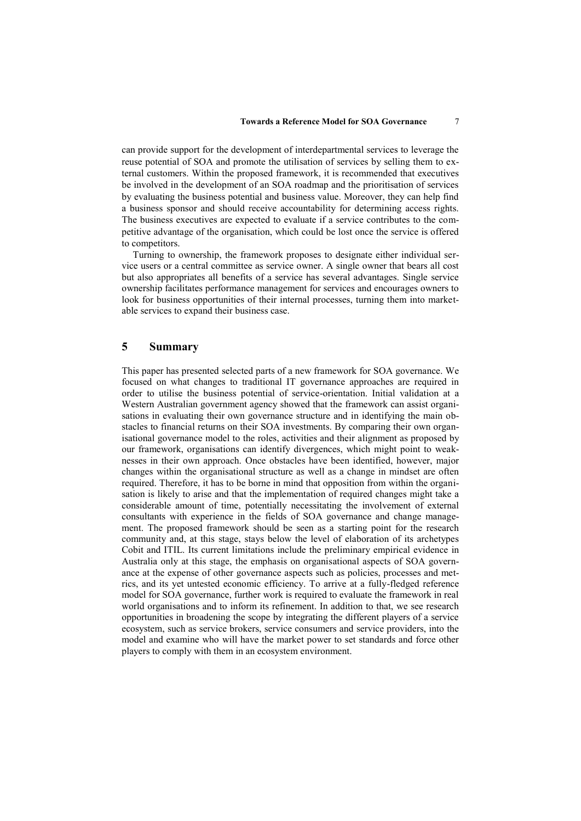can provide support for the development of interdepartmental services to leverage the reuse potential of SOA and promote the utilisation of services by selling them to external customers. Within the proposed framework, it is recommended that executives be involved in the development of an SOA roadmap and the prioritisation of services by evaluating the business potential and business value. Moreover, they can help find a business sponsor and should receive accountability for determining access rights. The business executives are expected to evaluate if a service contributes to the competitive advantage of the organisation, which could be lost once the service is offered to competitors.

Turning to ownership, the framework proposes to designate either individual service users or a central committee as service owner. A single owner that bears all cost but also appropriates all benefits of a service has several advantages. Single service ownership facilitates performance management for services and encourages owners to look for business opportunities of their internal processes, turning them into marketable services to expand their business case.

## **5 Summary**

This paper has presented selected parts of a new framework for SOA governance. We focused on what changes to traditional IT governance approaches are required in order to utilise the business potential of service-orientation. Initial validation at a Western Australian government agency showed that the framework can assist organisations in evaluating their own governance structure and in identifying the main obstacles to financial returns on their SOA investments. By comparing their own organisational governance model to the roles, activities and their alignment as proposed by our framework, organisations can identify divergences, which might point to weaknesses in their own approach. Once obstacles have been identified, however, major changes within the organisational structure as well as a change in mindset are often required. Therefore, it has to be borne in mind that opposition from within the organisation is likely to arise and that the implementation of required changes might take a considerable amount of time, potentially necessitating the involvement of external consultants with experience in the fields of SOA governance and change management. The proposed framework should be seen as a starting point for the research community and, at this stage, stays below the level of elaboration of its archetypes Cobit and ITIL. Its current limitations include the preliminary empirical evidence in Australia only at this stage, the emphasis on organisational aspects of SOA governance at the expense of other governance aspects such as policies, processes and metrics, and its yet untested economic efficiency. To arrive at a fully-fledged reference model for SOA governance, further work is required to evaluate the framework in real world organisations and to inform its refinement. In addition to that, we see research opportunities in broadening the scope by integrating the different players of a service ecosystem, such as service brokers, service consumers and service providers, into the model and examine who will have the market power to set standards and force other players to comply with them in an ecosystem environment.